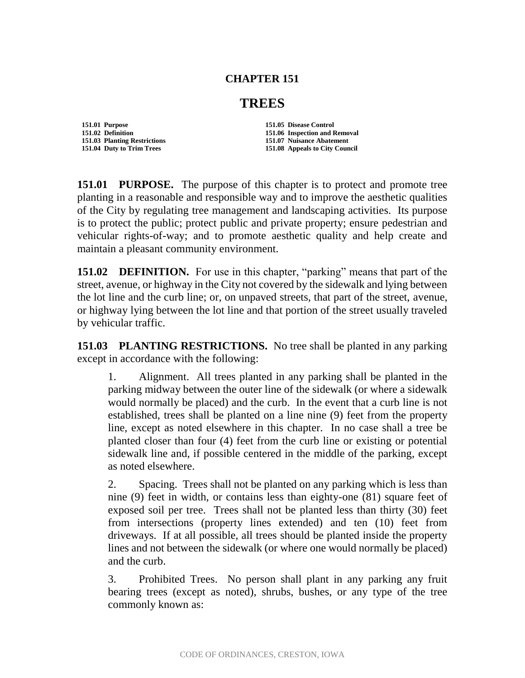## **CHAPTER 151**

## **TREES**

**151.01 Purpose 151.05 Disease Control** 

**151.02 Definition 151.06 Inspection and Removal 151.03 Planting Restrictions 151.07 Nuisance Abatement 151.04 Duty to Trim Trees 151.08 Appeals to City Council**

**151.01 PURPOSE.** The purpose of this chapter is to protect and promote tree planting in a reasonable and responsible way and to improve the aesthetic qualities of the City by regulating tree management and landscaping activities. Its purpose is to protect the public; protect public and private property; ensure pedestrian and vehicular rights-of-way; and to promote aesthetic quality and help create and maintain a pleasant community environment.

**151.02 DEFINITION.** For use in this chapter, "parking" means that part of the street, avenue, or highway in the City not covered by the sidewalk and lying between the lot line and the curb line; or, on unpaved streets, that part of the street, avenue, or highway lying between the lot line and that portion of the street usually traveled by vehicular traffic.

**151.03 PLANTING RESTRICTIONS.** No tree shall be planted in any parking except in accordance with the following:

1. Alignment. All trees planted in any parking shall be planted in the parking midway between the outer line of the sidewalk (or where a sidewalk would normally be placed) and the curb. In the event that a curb line is not established, trees shall be planted on a line nine (9) feet from the property line, except as noted elsewhere in this chapter. In no case shall a tree be planted closer than four (4) feet from the curb line or existing or potential sidewalk line and, if possible centered in the middle of the parking, except as noted elsewhere.

2. Spacing. Trees shall not be planted on any parking which is less than nine (9) feet in width, or contains less than eighty-one (81) square feet of exposed soil per tree. Trees shall not be planted less than thirty (30) feet from intersections (property lines extended) and ten (10) feet from driveways. If at all possible, all trees should be planted inside the property lines and not between the sidewalk (or where one would normally be placed) and the curb.

3. Prohibited Trees. No person shall plant in any parking any fruit bearing trees (except as noted), shrubs, bushes, or any type of the tree commonly known as: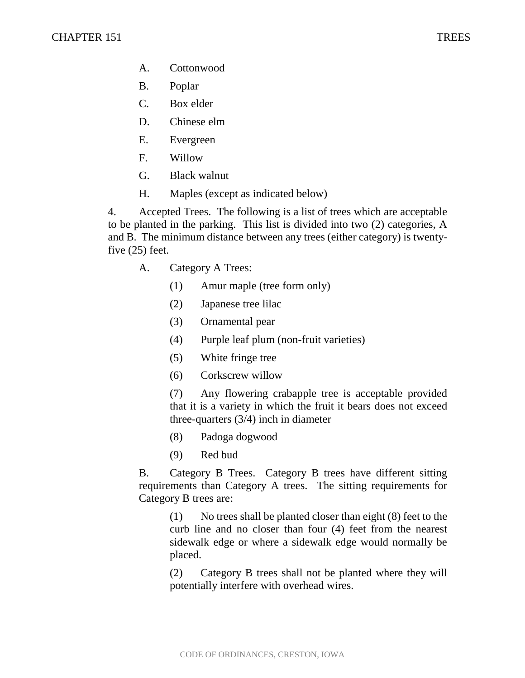- A. Cottonwood
- B. Poplar
- C. Box elder
- D. Chinese elm
- E. Evergreen
- F. Willow
- G. Black walnut
- H. Maples (except as indicated below)

4. Accepted Trees. The following is a list of trees which are acceptable to be planted in the parking. This list is divided into two (2) categories, A and B. The minimum distance between any trees (either category) is twentyfive (25) feet.

- A. Category A Trees:
	- (1) Amur maple (tree form only)
	- (2) Japanese tree lilac
	- (3) Ornamental pear
	- (4) Purple leaf plum (non-fruit varieties)
	- (5) White fringe tree
	- (6) Corkscrew willow

(7) Any flowering crabapple tree is acceptable provided that it is a variety in which the fruit it bears does not exceed three-quarters (3/4) inch in diameter

- (8) Padoga dogwood
- (9) Red bud

B. Category B Trees. Category B trees have different sitting requirements than Category A trees. The sitting requirements for Category B trees are:

(1) No trees shall be planted closer than eight (8) feet to the curb line and no closer than four (4) feet from the nearest sidewalk edge or where a sidewalk edge would normally be placed.

(2) Category B trees shall not be planted where they will potentially interfere with overhead wires.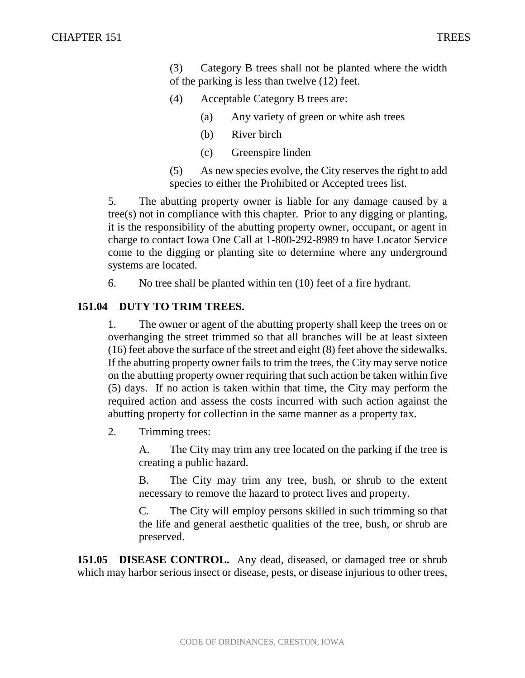(3) Category B trees shall not be planted where the width of the parking is less than twelve (12) feet.

- (4) Acceptable Category B trees are:
	- (a) Any variety of green or white ash trees
	- (b) River birch
	- (c) Greenspire linden

(5) As new species evolve, the City reserves the right to add species to either the Prohibited or Accepted trees list.

5. The abutting property owner is liable for any damage caused by a tree(s) not in compliance with this chapter. Prior to any digging or planting, it is the responsibility of the abutting property owner, occupant, or agent in charge to contact Iowa One Call at 1-800-292-8989 to have Locator Service come to the digging or planting site to determine where any underground systems are located.

6. No tree shall be planted within ten (10) feet of a fire hydrant.

## **151.04 DUTY TO TRIM TREES.**

1. The owner or agent of the abutting property shall keep the trees on or overhanging the street trimmed so that all branches will be at least sixteen (16) feet above the surface of the street and eight (8) feet above the sidewalks. If the abutting property owner fails to trim the trees, the City may serve notice on the abutting property owner requiring that such action be taken within five (5) days. If no action is taken within that time, the City may perform the required action and assess the costs incurred with such action against the abutting property for collection in the same manner as a property tax.

2. Trimming trees:

A. The City may trim any tree located on the parking if the tree is creating a public hazard.

B. The City may trim any tree, bush, or shrub to the extent necessary to remove the hazard to protect lives and property.

C. The City will employ persons skilled in such trimming so that the life and general aesthetic qualities of the tree, bush, or shrub are preserved.

**151.05 DISEASE CONTROL.** Any dead, diseased, or damaged tree or shrub which may harbor serious insect or disease, pests, or disease injurious to other trees,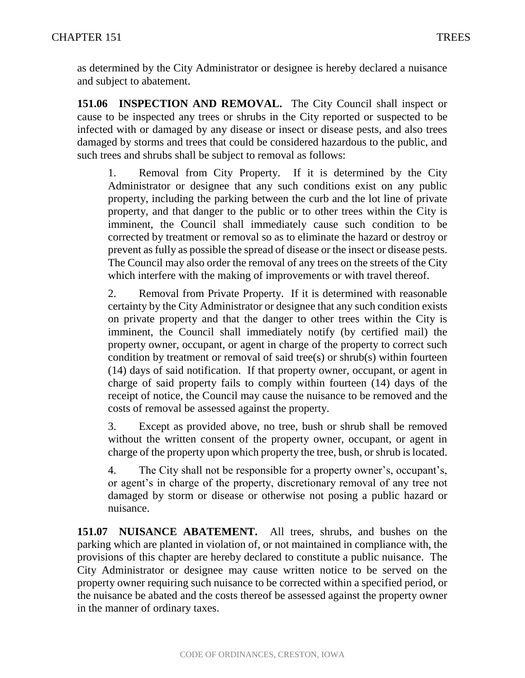as determined by the City Administrator or designee is hereby declared a nuisance and subject to abatement.

**151.06 INSPECTION AND REMOVAL.** The City Council shall inspect or cause to be inspected any trees or shrubs in the City reported or suspected to be infected with or damaged by any disease or insect or disease pests, and also trees damaged by storms and trees that could be considered hazardous to the public, and such trees and shrubs shall be subject to removal as follows:

1. Removal from City Property. If it is determined by the City Administrator or designee that any such conditions exist on any public property, including the parking between the curb and the lot line of private property, and that danger to the public or to other trees within the City is imminent, the Council shall immediately cause such condition to be corrected by treatment or removal so as to eliminate the hazard or destroy or prevent as fully as possible the spread of disease or the insect or disease pests. The Council may also order the removal of any trees on the streets of the City which interfere with the making of improvements or with travel thereof.

2. Removal from Private Property. If it is determined with reasonable certainty by the City Administrator or designee that any such condition exists on private property and that the danger to other trees within the City is imminent, the Council shall immediately notify (by certified mail) the property owner, occupant, or agent in charge of the property to correct such condition by treatment or removal of said tree(s) or shrub(s) within fourteen (14) days of said notification. If that property owner, occupant, or agent in charge of said property fails to comply within fourteen (14) days of the receipt of notice, the Council may cause the nuisance to be removed and the costs of removal be assessed against the property.

3. Except as provided above, no tree, bush or shrub shall be removed without the written consent of the property owner, occupant, or agent in charge of the property upon which property the tree, bush, or shrub is located.

4. The City shall not be responsible for a property owner's, occupant's, or agent's in charge of the property, discretionary removal of any tree not damaged by storm or disease or otherwise not posing a public hazard or nuisance.

**151.07 NUISANCE ABATEMENT.** All trees, shrubs, and bushes on the parking which are planted in violation of, or not maintained in compliance with, the provisions of this chapter are hereby declared to constitute a public nuisance. The City Administrator or designee may cause written notice to be served on the property owner requiring such nuisance to be corrected within a specified period, or the nuisance be abated and the costs thereof be assessed against the property owner in the manner of ordinary taxes.